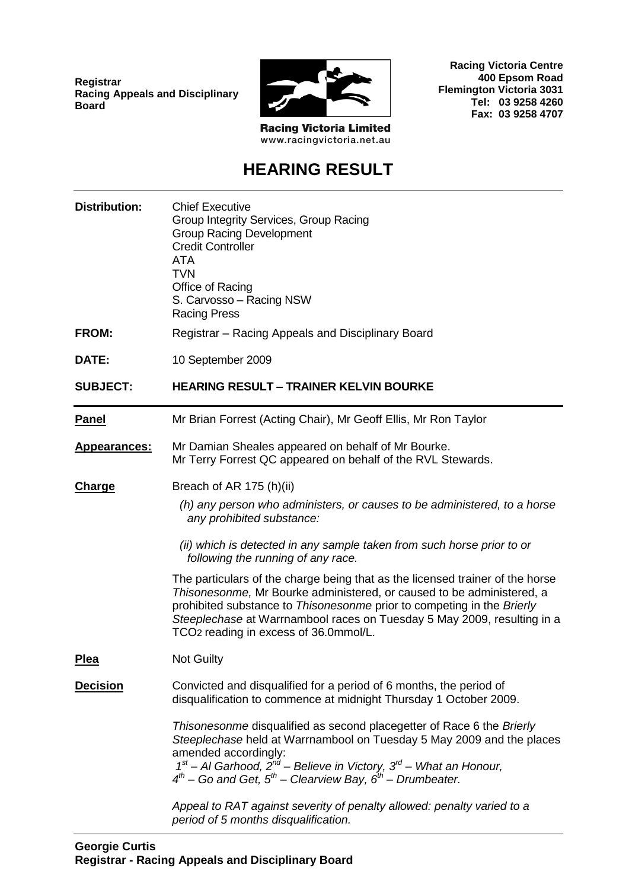**Registrar Racing Appeals and Disciplinary Board**



**Racing Victoria Centre 400 Epsom Road Flemington Victoria 3031 Tel: 03 9258 4260 Fax: 03 9258 4707**

**Racing Victoria Limited** www.racingvictoria.net.au

## **HEARING RESULT**

| <b>Distribution:</b> | <b>Chief Executive</b><br>Group Integrity Services, Group Racing<br><b>Group Racing Development</b><br><b>Credit Controller</b><br><b>ATA</b><br><b>TVN</b><br>Office of Racing<br>S. Carvosso - Racing NSW<br><b>Racing Press</b>                                                                                                                               |  |
|----------------------|------------------------------------------------------------------------------------------------------------------------------------------------------------------------------------------------------------------------------------------------------------------------------------------------------------------------------------------------------------------|--|
| <b>FROM:</b>         | Registrar - Racing Appeals and Disciplinary Board                                                                                                                                                                                                                                                                                                                |  |
| DATE:                | 10 September 2009                                                                                                                                                                                                                                                                                                                                                |  |
| <b>SUBJECT:</b>      | <b>HEARING RESULT - TRAINER KELVIN BOURKE</b>                                                                                                                                                                                                                                                                                                                    |  |
| <b>Panel</b>         | Mr Brian Forrest (Acting Chair), Mr Geoff Ellis, Mr Ron Taylor                                                                                                                                                                                                                                                                                                   |  |
| <b>Appearances:</b>  | Mr Damian Sheales appeared on behalf of Mr Bourke.<br>Mr Terry Forrest QC appeared on behalf of the RVL Stewards.                                                                                                                                                                                                                                                |  |
| <b>Charge</b>        | Breach of AR 175 (h)(ii)<br>(h) any person who administers, or causes to be administered, to a horse<br>any prohibited substance:<br>(ii) which is detected in any sample taken from such horse prior to or<br>following the running of any race.                                                                                                                |  |
|                      | The particulars of the charge being that as the licensed trainer of the horse<br>Thisonesonme, Mr Bourke administered, or caused to be administered, a<br>prohibited substance to Thisonesonme prior to competing in the Brierly<br>Steeplechase at Warrnambool races on Tuesday 5 May 2009, resulting in a<br>TCO <sub>2</sub> reading in excess of 36.0mmol/L. |  |
| <b>Plea</b>          | <b>Not Guilty</b>                                                                                                                                                                                                                                                                                                                                                |  |
| <b>Decision</b>      | Convicted and disqualified for a period of 6 months, the period of<br>disqualification to commence at midnight Thursday 1 October 2009.                                                                                                                                                                                                                          |  |
|                      | Thisonesonme disqualified as second placegetter of Race 6 the Brierly<br>Steeplechase held at Warrnambool on Tuesday 5 May 2009 and the places<br>amended accordingly:<br>$1st$ – Al Garhood, $2nd$ – Believe in Victory, $3rd$ – What an Honour,<br>$4^{th}$ – Go and Get, $5^{th}$ – Clearview Bay, $6^{th}$ – Drumbeater.                                     |  |
|                      | Appeal to RAT against severity of penalty allowed: penalty varied to a<br>period of 5 months disqualification.                                                                                                                                                                                                                                                   |  |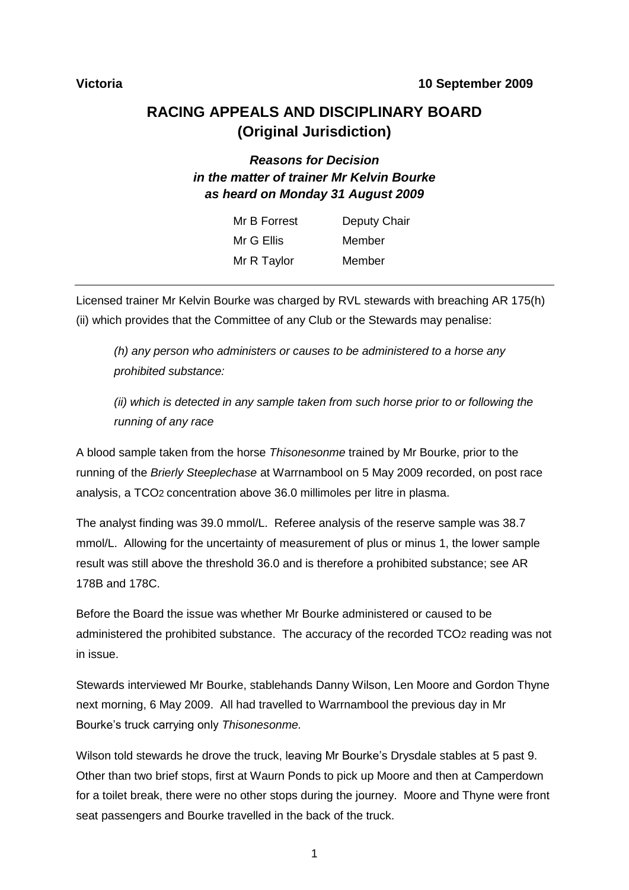### **RACING APPEALS AND DISCIPLINARY BOARD (Original Jurisdiction)**

#### *Reasons for Decision in the matter of trainer Mr Kelvin Bourke as heard on Monday 31 August 2009*

| Mr B Forrest | Deputy Chair |
|--------------|--------------|
| Mr G Ellis   | Member       |
| Mr R Taylor  | Member       |

Licensed trainer Mr Kelvin Bourke was charged by RVL stewards with breaching AR 175(h) (ii) which provides that the Committee of any Club or the Stewards may penalise:

*(h) any person who administers or causes to be administered to a horse any prohibited substance:*

*(ii) which is detected in any sample taken from such horse prior to or following the running of any race*

A blood sample taken from the horse *Thisonesonme* trained by Mr Bourke, prior to the running of the *Brierly Steeplechase* at Warrnambool on 5 May 2009 recorded, on post race analysis, a TCO2 concentration above 36.0 millimoles per litre in plasma.

The analyst finding was 39.0 mmol/L. Referee analysis of the reserve sample was 38.7 mmol/L. Allowing for the uncertainty of measurement of plus or minus 1, the lower sample result was still above the threshold 36.0 and is therefore a prohibited substance; see AR 178B and 178C.

Before the Board the issue was whether Mr Bourke administered or caused to be administered the prohibited substance. The accuracy of the recorded TCO2 reading was not in issue.

Stewards interviewed Mr Bourke, stablehands Danny Wilson, Len Moore and Gordon Thyne next morning, 6 May 2009. All had travelled to Warrnambool the previous day in Mr Bourke"s truck carrying only *Thisonesonme.*

Wilson told stewards he drove the truck, leaving Mr Bourke"s Drysdale stables at 5 past 9. Other than two brief stops, first at Waurn Ponds to pick up Moore and then at Camperdown for a toilet break, there were no other stops during the journey. Moore and Thyne were front seat passengers and Bourke travelled in the back of the truck.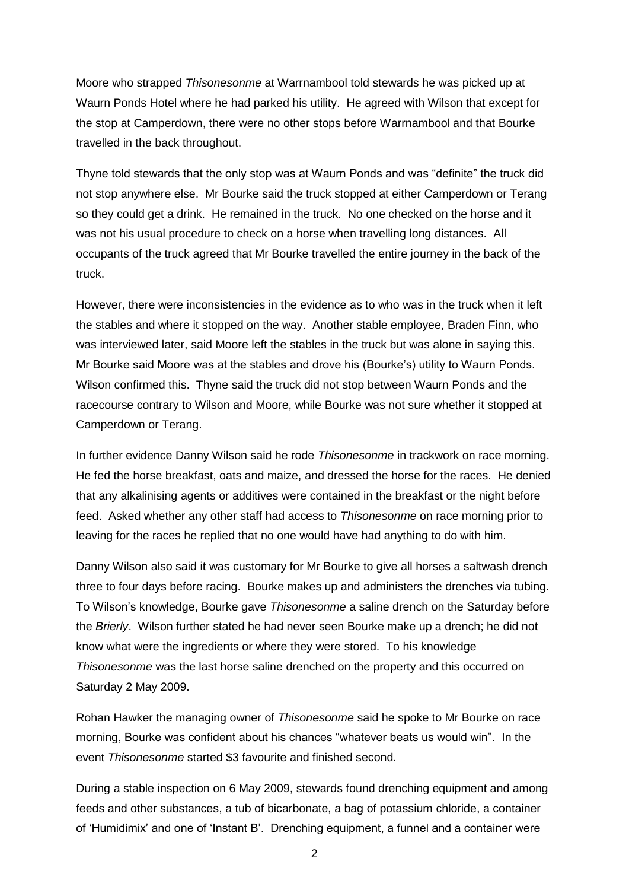Moore who strapped *Thisonesonme* at Warrnambool told stewards he was picked up at Waurn Ponds Hotel where he had parked his utility. He agreed with Wilson that except for the stop at Camperdown, there were no other stops before Warrnambool and that Bourke travelled in the back throughout.

Thyne told stewards that the only stop was at Waurn Ponds and was "definite" the truck did not stop anywhere else. Mr Bourke said the truck stopped at either Camperdown or Terang so they could get a drink. He remained in the truck. No one checked on the horse and it was not his usual procedure to check on a horse when travelling long distances. All occupants of the truck agreed that Mr Bourke travelled the entire journey in the back of the truck.

However, there were inconsistencies in the evidence as to who was in the truck when it left the stables and where it stopped on the way. Another stable employee, Braden Finn, who was interviewed later, said Moore left the stables in the truck but was alone in saying this. Mr Bourke said Moore was at the stables and drove his (Bourke"s) utility to Waurn Ponds. Wilson confirmed this. Thyne said the truck did not stop between Waurn Ponds and the racecourse contrary to Wilson and Moore, while Bourke was not sure whether it stopped at Camperdown or Terang.

In further evidence Danny Wilson said he rode *Thisonesonme* in trackwork on race morning. He fed the horse breakfast, oats and maize, and dressed the horse for the races. He denied that any alkalinising agents or additives were contained in the breakfast or the night before feed. Asked whether any other staff had access to *Thisonesonme* on race morning prior to leaving for the races he replied that no one would have had anything to do with him.

Danny Wilson also said it was customary for Mr Bourke to give all horses a saltwash drench three to four days before racing. Bourke makes up and administers the drenches via tubing. To Wilson"s knowledge, Bourke gave *Thisonesonme* a saline drench on the Saturday before the *Brierly*. Wilson further stated he had never seen Bourke make up a drench; he did not know what were the ingredients or where they were stored. To his knowledge *Thisonesonme* was the last horse saline drenched on the property and this occurred on Saturday 2 May 2009.

Rohan Hawker the managing owner of *Thisonesonme* said he spoke to Mr Bourke on race morning, Bourke was confident about his chances "whatever beats us would win". In the event *Thisonesonme* started \$3 favourite and finished second.

During a stable inspection on 6 May 2009, stewards found drenching equipment and among feeds and other substances, a tub of bicarbonate, a bag of potassium chloride, a container of "Humidimix" and one of "Instant B". Drenching equipment, a funnel and a container were

2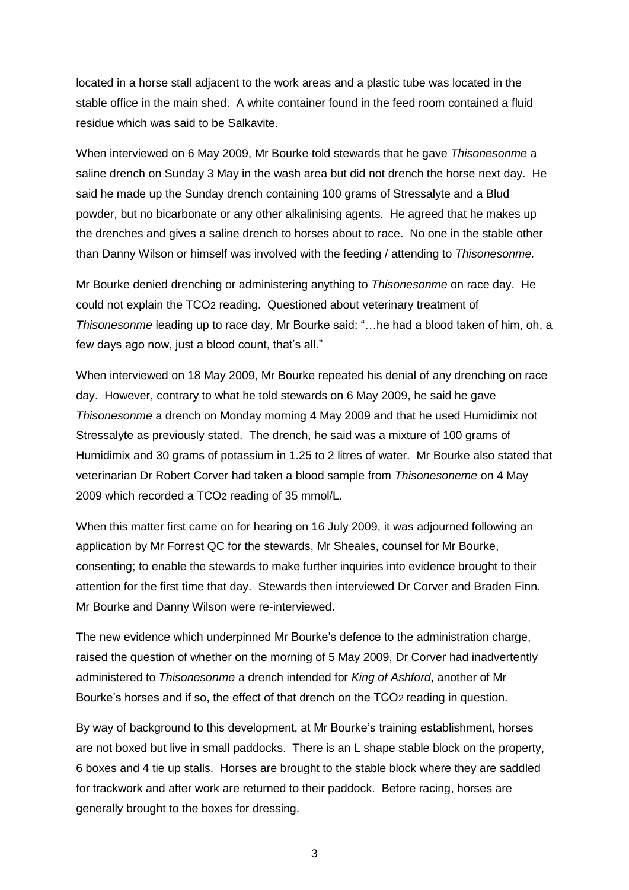located in a horse stall adjacent to the work areas and a plastic tube was located in the stable office in the main shed. A white container found in the feed room contained a fluid residue which was said to be Salkavite.

When interviewed on 6 May 2009, Mr Bourke told stewards that he gave *Thisonesonme* a saline drench on Sunday 3 May in the wash area but did not drench the horse next day. He said he made up the Sunday drench containing 100 grams of Stressalyte and a Blud powder, but no bicarbonate or any other alkalinising agents. He agreed that he makes up the drenches and gives a saline drench to horses about to race. No one in the stable other than Danny Wilson or himself was involved with the feeding / attending to *Thisonesonme.*

Mr Bourke denied drenching or administering anything to *Thisonesonme* on race day. He could not explain the TCO2 reading. Questioned about veterinary treatment of *Thisonesonme* leading up to race day, Mr Bourke said: "…he had a blood taken of him, oh, a few days ago now, just a blood count, that's all."

When interviewed on 18 May 2009, Mr Bourke repeated his denial of any drenching on race day. However, contrary to what he told stewards on 6 May 2009, he said he gave *Thisonesonme* a drench on Monday morning 4 May 2009 and that he used Humidimix not Stressalyte as previously stated. The drench, he said was a mixture of 100 grams of Humidimix and 30 grams of potassium in 1.25 to 2 litres of water. Mr Bourke also stated that veterinarian Dr Robert Corver had taken a blood sample from *Thisonesoneme* on 4 May 2009 which recorded a TCO2 reading of 35 mmol/L.

When this matter first came on for hearing on 16 July 2009, it was adjourned following an application by Mr Forrest QC for the stewards, Mr Sheales, counsel for Mr Bourke, consenting; to enable the stewards to make further inquiries into evidence brought to their attention for the first time that day. Stewards then interviewed Dr Corver and Braden Finn. Mr Bourke and Danny Wilson were re-interviewed.

The new evidence which underpinned Mr Bourke"s defence to the administration charge, raised the question of whether on the morning of 5 May 2009, Dr Corver had inadvertently administered to *Thisonesonme* a drench intended for *King of Ashford*, another of Mr Bourke"s horses and if so, the effect of that drench on the TCO2 reading in question.

By way of background to this development, at Mr Bourke's training establishment, horses are not boxed but live in small paddocks. There is an L shape stable block on the property, 6 boxes and 4 tie up stalls. Horses are brought to the stable block where they are saddled for trackwork and after work are returned to their paddock. Before racing, horses are generally brought to the boxes for dressing.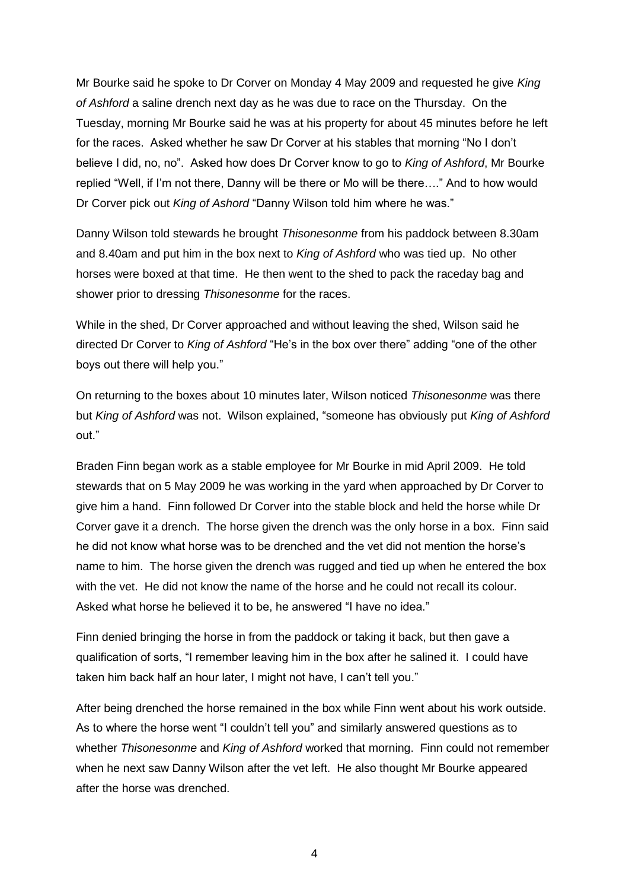Mr Bourke said he spoke to Dr Corver on Monday 4 May 2009 and requested he give *King of Ashford* a saline drench next day as he was due to race on the Thursday. On the Tuesday, morning Mr Bourke said he was at his property for about 45 minutes before he left for the races. Asked whether he saw Dr Corver at his stables that morning "No I don"t believe I did, no, no". Asked how does Dr Corver know to go to *King of Ashford*, Mr Bourke replied "Well, if I"m not there, Danny will be there or Mo will be there…." And to how would Dr Corver pick out *King of Ashord* "Danny Wilson told him where he was."

Danny Wilson told stewards he brought *Thisonesonme* from his paddock between 8.30am and 8.40am and put him in the box next to *King of Ashford* who was tied up. No other horses were boxed at that time. He then went to the shed to pack the raceday bag and shower prior to dressing *Thisonesonme* for the races.

While in the shed, Dr Corver approached and without leaving the shed, Wilson said he directed Dr Corver to *King of Ashford* "He"s in the box over there" adding "one of the other boys out there will help you."

On returning to the boxes about 10 minutes later, Wilson noticed *Thisonesonme* was there but *King of Ashford* was not. Wilson explained, "someone has obviously put *King of Ashford* out."

Braden Finn began work as a stable employee for Mr Bourke in mid April 2009. He told stewards that on 5 May 2009 he was working in the yard when approached by Dr Corver to give him a hand. Finn followed Dr Corver into the stable block and held the horse while Dr Corver gave it a drench. The horse given the drench was the only horse in a box. Finn said he did not know what horse was to be drenched and the vet did not mention the horse"s name to him. The horse given the drench was rugged and tied up when he entered the box with the vet. He did not know the name of the horse and he could not recall its colour. Asked what horse he believed it to be, he answered "I have no idea."

Finn denied bringing the horse in from the paddock or taking it back, but then gave a qualification of sorts, "I remember leaving him in the box after he salined it. I could have taken him back half an hour later, I might not have, I can't tell you."

After being drenched the horse remained in the box while Finn went about his work outside. As to where the horse went "I couldn"t tell you" and similarly answered questions as to whether *Thisonesonme* and *King of Ashford* worked that morning. Finn could not remember when he next saw Danny Wilson after the vet left. He also thought Mr Bourke appeared after the horse was drenched.

4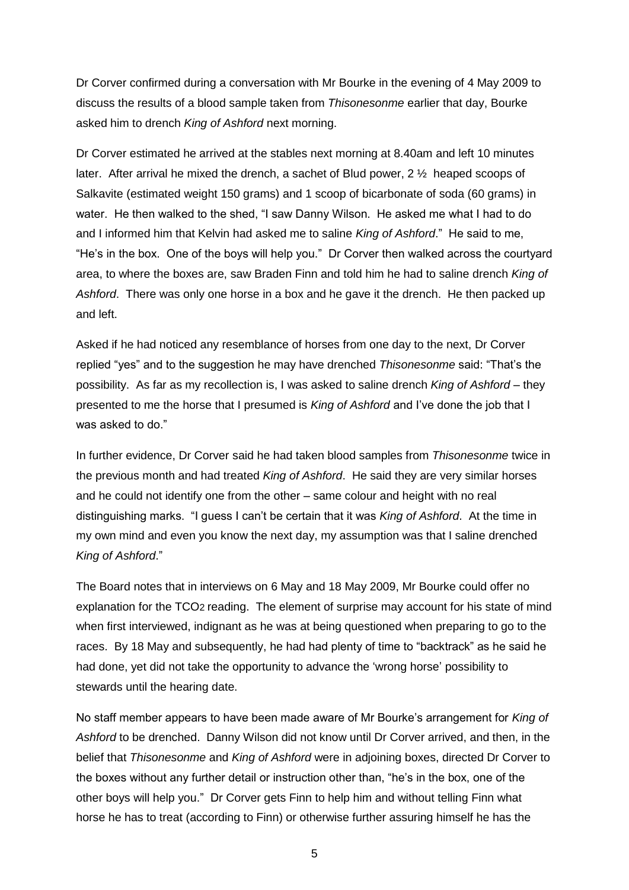Dr Corver confirmed during a conversation with Mr Bourke in the evening of 4 May 2009 to discuss the results of a blood sample taken from *Thisonesonme* earlier that day, Bourke asked him to drench *King of Ashford* next morning.

Dr Corver estimated he arrived at the stables next morning at 8.40am and left 10 minutes later. After arrival he mixed the drench, a sachet of Blud power, 2 ½ heaped scoops of Salkavite (estimated weight 150 grams) and 1 scoop of bicarbonate of soda (60 grams) in water. He then walked to the shed, "I saw Danny Wilson. He asked me what I had to do and I informed him that Kelvin had asked me to saline *King of Ashford*." He said to me, "He's in the box. One of the boys will help you." Dr Corver then walked across the courtyard area, to where the boxes are, saw Braden Finn and told him he had to saline drench *King of Ashford*. There was only one horse in a box and he gave it the drench. He then packed up and left.

Asked if he had noticed any resemblance of horses from one day to the next, Dr Corver replied "yes" and to the suggestion he may have drenched *Thisonesonme* said: "That"s the possibility. As far as my recollection is, I was asked to saline drench *King of Ashford* – they presented to me the horse that I presumed is *King of Ashford* and I"ve done the job that I was asked to do."

In further evidence, Dr Corver said he had taken blood samples from *Thisonesonme* twice in the previous month and had treated *King of Ashford*. He said they are very similar horses and he could not identify one from the other – same colour and height with no real distinguishing marks. "I guess I can"t be certain that it was *King of Ashford*. At the time in my own mind and even you know the next day, my assumption was that I saline drenched *King of Ashford*."

The Board notes that in interviews on 6 May and 18 May 2009, Mr Bourke could offer no explanation for the TCO2 reading. The element of surprise may account for his state of mind when first interviewed, indignant as he was at being questioned when preparing to go to the races. By 18 May and subsequently, he had had plenty of time to "backtrack" as he said he had done, yet did not take the opportunity to advance the "wrong horse" possibility to stewards until the hearing date.

No staff member appears to have been made aware of Mr Bourke"s arrangement for *King of Ashford* to be drenched. Danny Wilson did not know until Dr Corver arrived, and then, in the belief that *Thisonesonme* and *King of Ashford* were in adjoining boxes, directed Dr Corver to the boxes without any further detail or instruction other than, "he"s in the box, one of the other boys will help you." Dr Corver gets Finn to help him and without telling Finn what horse he has to treat (according to Finn) or otherwise further assuring himself he has the

5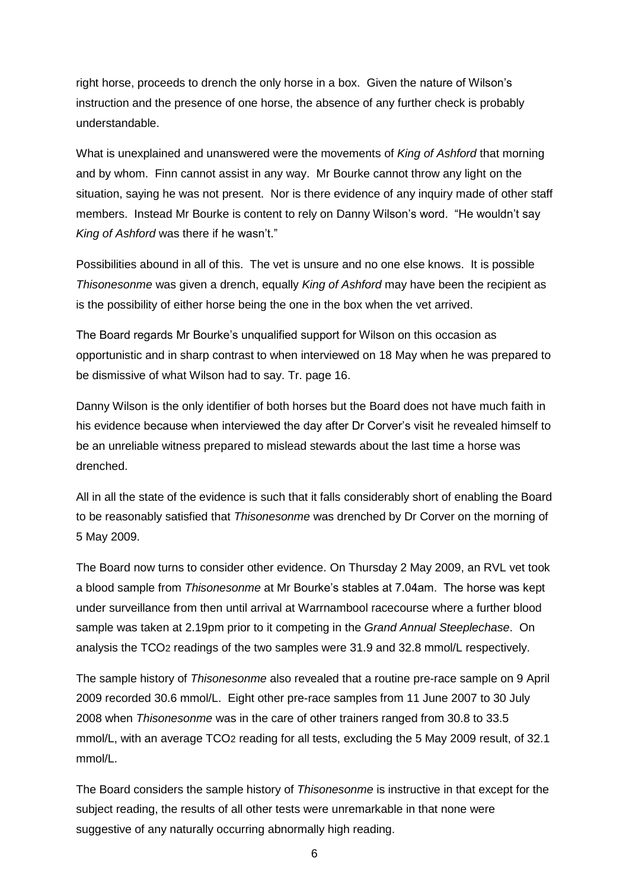right horse, proceeds to drench the only horse in a box. Given the nature of Wilson"s instruction and the presence of one horse, the absence of any further check is probably understandable.

What is unexplained and unanswered were the movements of *King of Ashford* that morning and by whom. Finn cannot assist in any way. Mr Bourke cannot throw any light on the situation, saying he was not present. Nor is there evidence of any inquiry made of other staff members. Instead Mr Bourke is content to rely on Danny Wilson"s word. "He wouldn"t say *King of Ashford* was there if he wasn"t."

Possibilities abound in all of this. The vet is unsure and no one else knows. It is possible *Thisonesonme* was given a drench, equally *King of Ashford* may have been the recipient as is the possibility of either horse being the one in the box when the vet arrived.

The Board regards Mr Bourke"s unqualified support for Wilson on this occasion as opportunistic and in sharp contrast to when interviewed on 18 May when he was prepared to be dismissive of what Wilson had to say. Tr. page 16.

Danny Wilson is the only identifier of both horses but the Board does not have much faith in his evidence because when interviewed the day after Dr Corver"s visit he revealed himself to be an unreliable witness prepared to mislead stewards about the last time a horse was drenched.

All in all the state of the evidence is such that it falls considerably short of enabling the Board to be reasonably satisfied that *Thisonesonme* was drenched by Dr Corver on the morning of 5 May 2009.

The Board now turns to consider other evidence. On Thursday 2 May 2009, an RVL vet took a blood sample from *Thisonesonme* at Mr Bourke"s stables at 7.04am. The horse was kept under surveillance from then until arrival at Warrnambool racecourse where a further blood sample was taken at 2.19pm prior to it competing in the *Grand Annual Steeplechase*. On analysis the TCO2 readings of the two samples were 31.9 and 32.8 mmol/L respectively.

The sample history of *Thisonesonme* also revealed that a routine pre-race sample on 9 April 2009 recorded 30.6 mmol/L. Eight other pre-race samples from 11 June 2007 to 30 July 2008 when *Thisonesonme* was in the care of other trainers ranged from 30.8 to 33.5 mmol/L, with an average TCO2 reading for all tests, excluding the 5 May 2009 result, of 32.1 mmol/L.

The Board considers the sample history of *Thisonesonme* is instructive in that except for the subject reading, the results of all other tests were unremarkable in that none were suggestive of any naturally occurring abnormally high reading.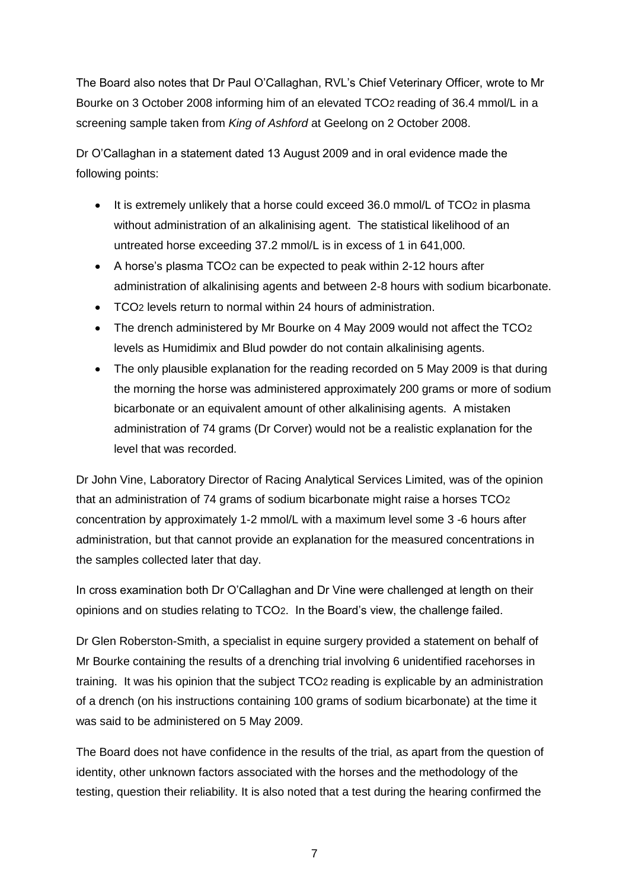The Board also notes that Dr Paul O"Callaghan, RVL"s Chief Veterinary Officer, wrote to Mr Bourke on 3 October 2008 informing him of an elevated TCO2 reading of 36.4 mmol/L in a screening sample taken from *King of Ashford* at Geelong on 2 October 2008.

Dr O"Callaghan in a statement dated 13 August 2009 and in oral evidence made the following points:

- It is extremely unlikely that a horse could exceed 36.0 mmol/L of TCO2 in plasma without administration of an alkalinising agent. The statistical likelihood of an untreated horse exceeding 37.2 mmol/L is in excess of 1 in 641,000.
- A horse"s plasma TCO2 can be expected to peak within 2-12 hours after administration of alkalinising agents and between 2-8 hours with sodium bicarbonate.
- TCO2 levels return to normal within 24 hours of administration.
- The drench administered by Mr Bourke on 4 May 2009 would not affect the TCO2 levels as Humidimix and Blud powder do not contain alkalinising agents.
- The only plausible explanation for the reading recorded on 5 May 2009 is that during the morning the horse was administered approximately 200 grams or more of sodium bicarbonate or an equivalent amount of other alkalinising agents. A mistaken administration of 74 grams (Dr Corver) would not be a realistic explanation for the level that was recorded.

Dr John Vine, Laboratory Director of Racing Analytical Services Limited, was of the opinion that an administration of 74 grams of sodium bicarbonate might raise a horses TCO2 concentration by approximately 1-2 mmol/L with a maximum level some 3 -6 hours after administration, but that cannot provide an explanation for the measured concentrations in the samples collected later that day.

In cross examination both Dr O"Callaghan and Dr Vine were challenged at length on their opinions and on studies relating to TCO2. In the Board"s view, the challenge failed.

Dr Glen Roberston-Smith, a specialist in equine surgery provided a statement on behalf of Mr Bourke containing the results of a drenching trial involving 6 unidentified racehorses in training. It was his opinion that the subject TCO2 reading is explicable by an administration of a drench (on his instructions containing 100 grams of sodium bicarbonate) at the time it was said to be administered on 5 May 2009.

The Board does not have confidence in the results of the trial, as apart from the question of identity, other unknown factors associated with the horses and the methodology of the testing, question their reliability. It is also noted that a test during the hearing confirmed the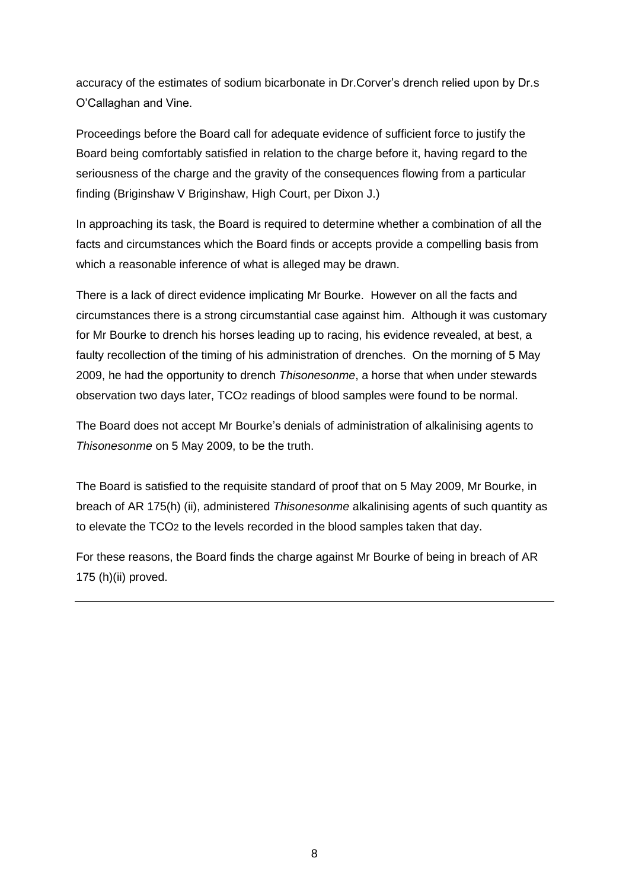accuracy of the estimates of sodium bicarbonate in Dr.Corver"s drench relied upon by Dr.s O"Callaghan and Vine.

Proceedings before the Board call for adequate evidence of sufficient force to justify the Board being comfortably satisfied in relation to the charge before it, having regard to the seriousness of the charge and the gravity of the consequences flowing from a particular finding (Briginshaw V Briginshaw, High Court, per Dixon J.)

In approaching its task, the Board is required to determine whether a combination of all the facts and circumstances which the Board finds or accepts provide a compelling basis from which a reasonable inference of what is alleged may be drawn.

There is a lack of direct evidence implicating Mr Bourke. However on all the facts and circumstances there is a strong circumstantial case against him. Although it was customary for Mr Bourke to drench his horses leading up to racing, his evidence revealed, at best, a faulty recollection of the timing of his administration of drenches. On the morning of 5 May 2009, he had the opportunity to drench *Thisonesonme*, a horse that when under stewards observation two days later, TCO2 readings of blood samples were found to be normal.

The Board does not accept Mr Bourke"s denials of administration of alkalinising agents to *Thisonesonme* on 5 May 2009, to be the truth.

The Board is satisfied to the requisite standard of proof that on 5 May 2009, Mr Bourke, in breach of AR 175(h) (ii), administered *Thisonesonme* alkalinising agents of such quantity as to elevate the TCO2 to the levels recorded in the blood samples taken that day.

For these reasons, the Board finds the charge against Mr Bourke of being in breach of AR 175 (h)(ii) proved.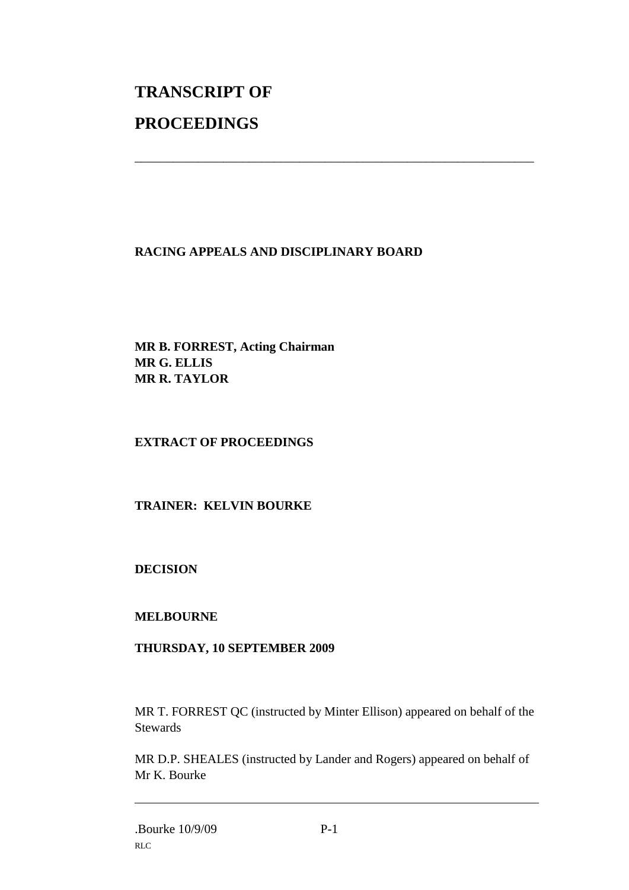# **TRANSCRIPT OF PROCEEDINGS**

#### **RACING APPEALS AND DISCIPLINARY BOARD**

\_\_\_\_\_\_\_\_\_\_\_\_\_\_\_\_\_\_\_\_\_\_\_\_\_\_\_\_\_\_\_\_\_\_\_\_\_\_\_\_\_\_\_\_\_\_\_\_\_\_\_\_\_\_\_\_\_\_\_\_\_\_\_

**MR B. FORREST, Acting Chairman MR G. ELLIS MR R. TAYLOR**

#### **EXTRACT OF PROCEEDINGS**

#### **TRAINER: KELVIN BOURKE**

**DECISION**

#### **MELBOURNE**

#### **THURSDAY, 10 SEPTEMBER 2009**

MR T. FORREST QC (instructed by Minter Ellison) appeared on behalf of the **Stewards** 

MR D.P. SHEALES (instructed by Lander and Rogers) appeared on behalf of Mr K. Bourke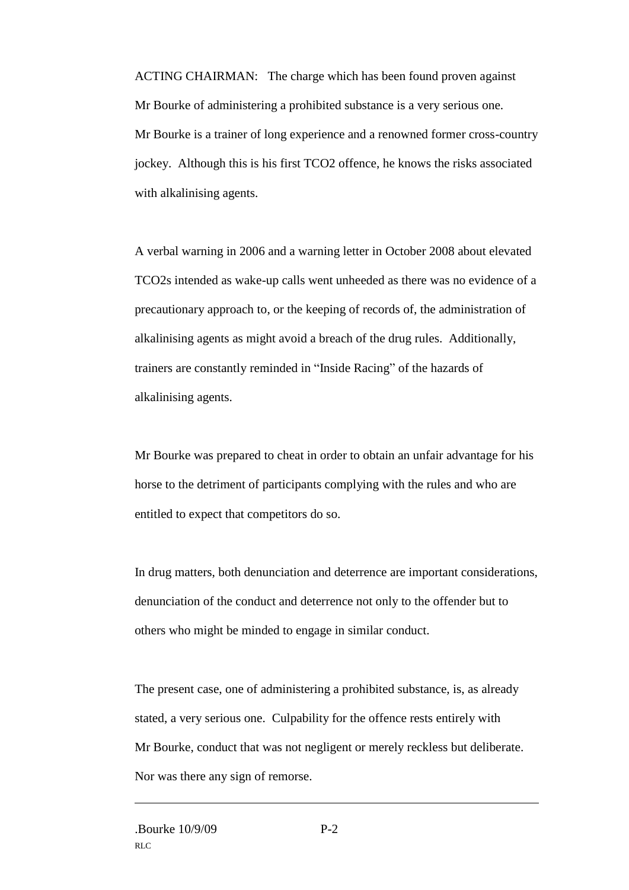ACTING CHAIRMAN: The charge which has been found proven against Mr Bourke of administering a prohibited substance is a very serious one. Mr Bourke is a trainer of long experience and a renowned former cross-country jockey. Although this is his first TCO2 offence, he knows the risks associated with alkalinising agents.

A verbal warning in 2006 and a warning letter in October 2008 about elevated TCO2s intended as wake-up calls went unheeded as there was no evidence of a precautionary approach to, or the keeping of records of, the administration of alkalinising agents as might avoid a breach of the drug rules. Additionally, trainers are constantly reminded in "Inside Racing" of the hazards of alkalinising agents.

Mr Bourke was prepared to cheat in order to obtain an unfair advantage for his horse to the detriment of participants complying with the rules and who are entitled to expect that competitors do so.

In drug matters, both denunciation and deterrence are important considerations, denunciation of the conduct and deterrence not only to the offender but to others who might be minded to engage in similar conduct.

The present case, one of administering a prohibited substance, is, as already stated, a very serious one. Culpability for the offence rests entirely with Mr Bourke, conduct that was not negligent or merely reckless but deliberate. Nor was there any sign of remorse.